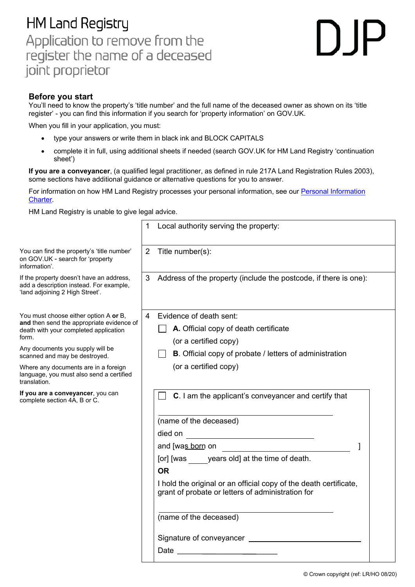## **HM Land Registry** Application to remove from the register the name of a deceased joint proprietor

## $\bigcap \mathsf{P}$

## **Before you start**

 You'll need to know the property's 'title number' and the full name of the deceased owner as shown on its 'title register' - you can find this information if you search for 'property information' on GOV.UK.

When you fill in your application, you must:

- type your answers or write them in black ink and BLOCK CAPITALS
- • complete it in full, using additional sheets if needed (search GOV.UK for HM Land Registry 'continuation sheet')

 **If you are a conveyancer**, (a qualified legal practitioner, as defined in rule 217A Land Registration Rules 2003), some sections have additional guidance or alternative questions for you to answer.

For information on how HM Land Registry processes your personal information, see our <u>Personal Information</u> [Charter.](https://www.gov.uk/government/organisations/land-registry/about/personal-information-charter)

HM Land Registry is unable to give legal advice.

|                                                                                                                                                                                                                                                                                                                                                                                    |                | Local authority serving the property:                                                                                                                                                                                                                                                                                                                                                                                                                                                                                                             |
|------------------------------------------------------------------------------------------------------------------------------------------------------------------------------------------------------------------------------------------------------------------------------------------------------------------------------------------------------------------------------------|----------------|---------------------------------------------------------------------------------------------------------------------------------------------------------------------------------------------------------------------------------------------------------------------------------------------------------------------------------------------------------------------------------------------------------------------------------------------------------------------------------------------------------------------------------------------------|
| You can find the property's 'title number'<br>on GOV.UK - search for 'property<br>information'.                                                                                                                                                                                                                                                                                    | $\overline{2}$ | Title number(s):                                                                                                                                                                                                                                                                                                                                                                                                                                                                                                                                  |
| If the property doesn't have an address,<br>add a description instead. For example,<br>'land adjoining 2 High Street'.                                                                                                                                                                                                                                                             | 3              | Address of the property (include the postcode, if there is one):                                                                                                                                                                                                                                                                                                                                                                                                                                                                                  |
| You must choose either option A or B,<br>and then send the appropriate evidence of<br>death with your completed application<br>form.<br>Any documents you supply will be<br>scanned and may be destroyed.<br>Where any documents are in a foreign<br>language, you must also send a certified<br>translation.<br>If you are a conveyancer, you can<br>complete section 4A, B or C. | 4              | Evidence of death sent:<br>A. Official copy of death certificate<br>(or a certified copy)<br><b>B</b> . Official copy of probate / letters of administration<br>(or a certified copy)<br>C. I am the applicant's conveyancer and certify that                                                                                                                                                                                                                                                                                                     |
|                                                                                                                                                                                                                                                                                                                                                                                    |                | (name of the deceased)<br>died on<br>and [was born on<br>[or] [was years old] at the time of death.<br><b>OR</b><br>I hold the original or an official copy of the death certificate,<br>grant of probate or letters of administration for<br>(name of the deceased)<br>Signature of conveyancer ______________<br>Date has a series of the series of the series of the series of the series of the series of the series of the series of the series of the series of the series of the series of the series of the series of the series of the s |